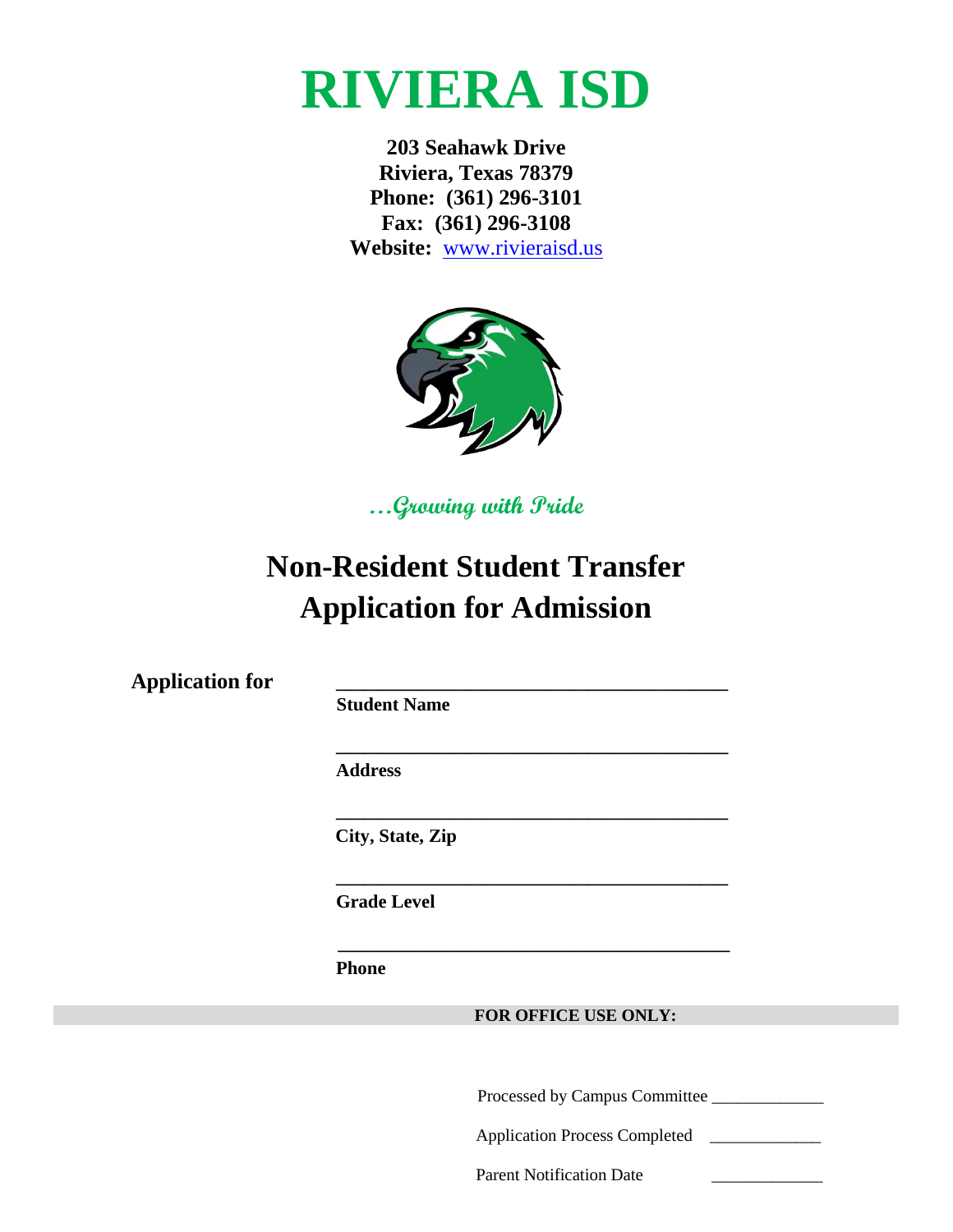

**203 Seahawk Drive Riviera, Texas 78379 Phone: (361) 296-3101 Fax: (361) 296-3108 Website:** [www.rivieraisd.us](http://www.rivieraisd.us/)



**…Growing with Pride**

# **Non-Resident Student Transfer Application for Admission**

**Application for \_\_\_\_\_\_\_\_\_\_\_\_\_\_\_\_\_\_\_\_\_\_\_\_\_\_\_\_\_\_\_\_\_\_\_\_\_\_\_\_\_\_**

 **Student Name**

 **\_\_\_\_\_\_\_\_\_\_\_\_\_\_\_\_\_\_\_\_\_\_\_\_\_\_\_\_\_\_\_\_\_\_\_\_\_\_\_\_\_\_**

 **Address**

 **City, State, Zip**

 **\_\_\_\_\_\_\_\_\_\_\_\_\_\_\_\_\_\_\_\_\_\_\_\_\_\_\_\_\_\_\_\_\_\_\_\_\_\_\_\_\_\_**

 **\_\_\_\_\_\_\_\_\_\_\_\_\_\_\_\_\_\_\_\_\_\_\_\_\_\_\_\_\_\_\_\_\_\_\_\_\_\_\_\_\_\_**

 **Grade Level**

 **\_\_\_\_\_\_\_\_\_\_\_\_\_\_\_\_\_\_\_\_\_\_\_\_\_\_\_\_\_\_\_\_\_\_\_\_\_\_\_\_\_\_**

 **Phone** 

**FOR OFFICE USE ONLY:**

**\_\_\_\_\_\_\_\_\_\_** Processed by Campus Committee \_\_\_\_\_\_\_\_\_\_\_\_\_

Application Process Completed \_\_\_\_\_\_\_\_\_\_\_\_\_

Parent Notification Date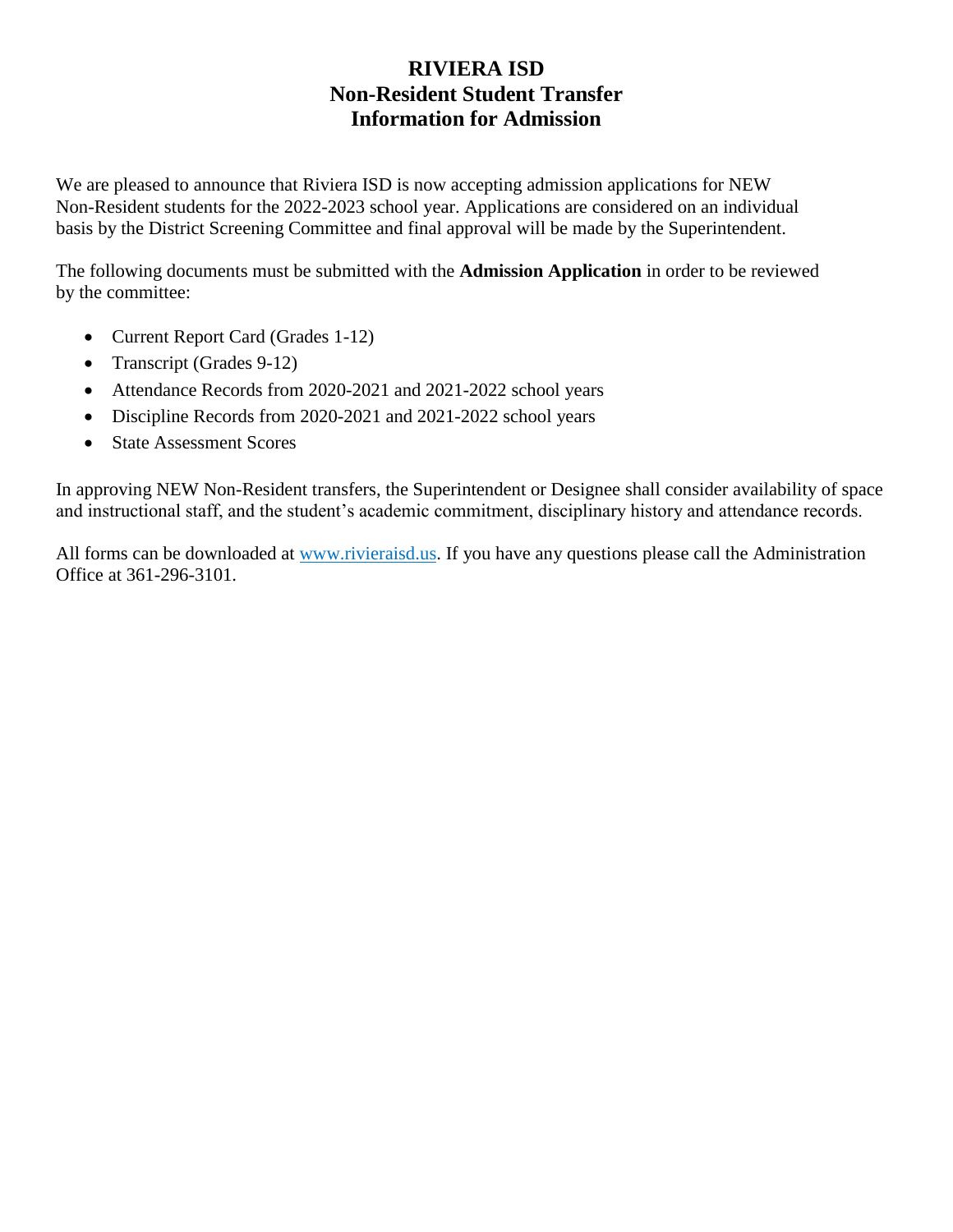## **RIVIERA ISD Non-Resident Student Transfer Information for Admission**

We are pleased to announce that Riviera ISD is now accepting admission applications for NEW Non-Resident students for the 2022-2023 school year. Applications are considered on an individual basis by the District Screening Committee and final approval will be made by the Superintendent.

The following documents must be submitted with the **Admission Application** in order to be reviewed by the committee:

- Current Report Card (Grades 1-12)
- Transcript (Grades 9-12)
- Attendance Records from 2020-2021 and 2021-2022 school years
- Discipline Records from 2020-2021 and 2021-2022 school years
- State Assessment Scores

In approving NEW Non-Resident transfers, the Superintendent or Designee shall consider availability of space and instructional staff, and the student's academic commitment, disciplinary history and attendance records.

All forms can be downloaded at www.rivieraisd.us. If you have any questions please call the Administration Office at 361-296-3101.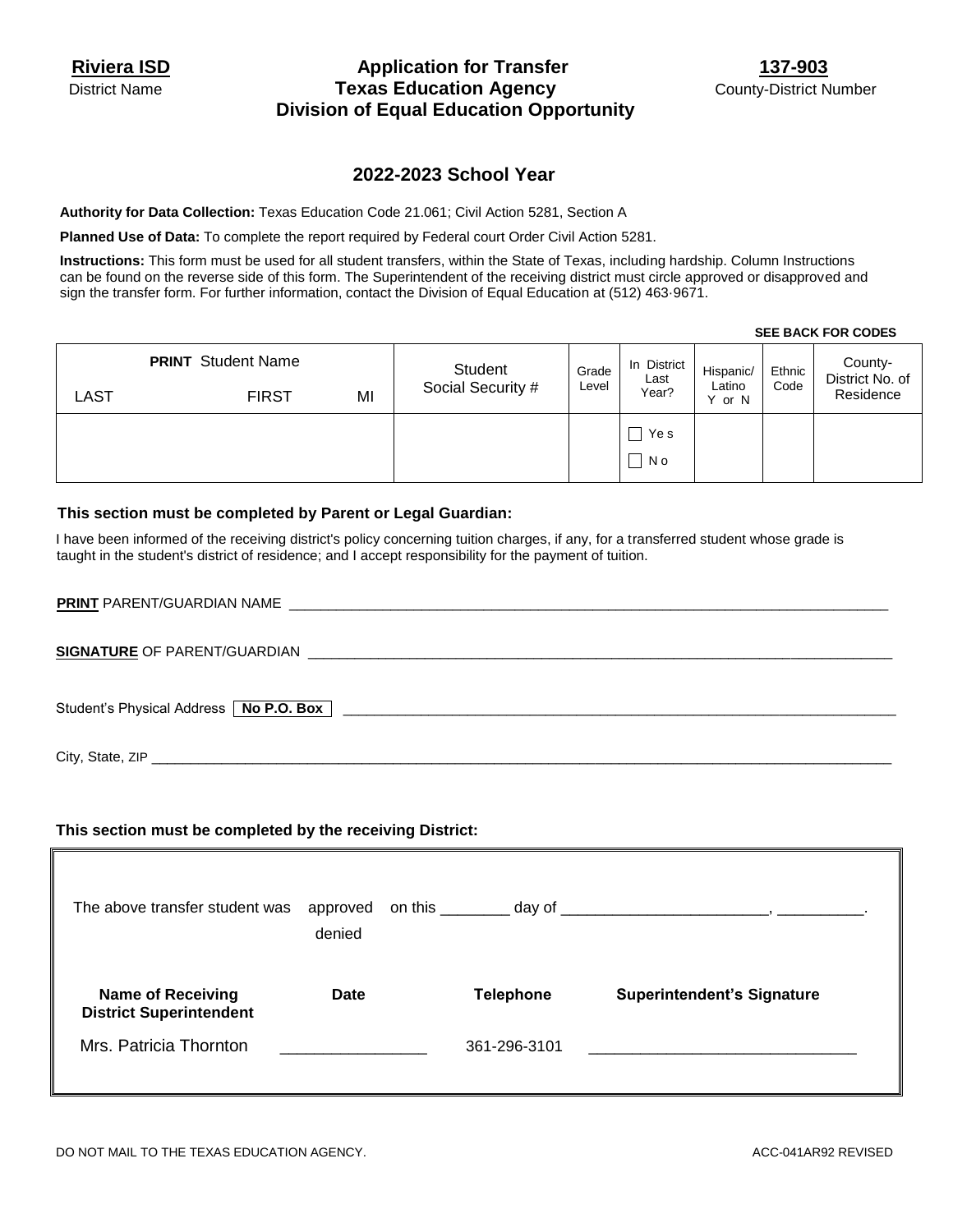### Riviera ISD **Application for Transfer** 137-903 District Name **Texas Education Agency County-District Number County-District Number Division of Equal Education Opportunity**

## **2022-2023 School Year**

**Authority for Data Collection:** Texas Education Code 21.061; Civil Action 5281, Section A

**Planned Use of Data:** To complete the report required by Federal court Order Civil Action 5281.

**Instructions:** This form must be used for all student transfers, within the State of Texas, including hardship. Column Instructions can be found on the reverse side of this form. The Superintendent of the receiving district must circle approved or disapproved and sign the transfer form. For further information, contact the Division of Equal Education at (512) 463·9671.

|      | <b>PRINT</b> Student Name | Student           | Grade | In District<br>Last | Hispanic/           | Ethnic | County-<br>District No. of |
|------|---------------------------|-------------------|-------|---------------------|---------------------|--------|----------------------------|
| LAST | MI<br><b>FIRST</b>        | Social Security # | Level | Year?               | Latino<br>or N<br>v | Code   | Residence                  |
|      |                           |                   |       | Ye s                |                     |        |                            |
|      |                           |                   |       | N o                 |                     |        |                            |
|      |                           |                   |       |                     |                     |        |                            |

#### **This section must be completed by Parent or Legal Guardian:**

I have been informed of the receiving district's policy concerning tuition charges, if any, for a transferred student whose grade is taught in the student's district of residence; and I accept responsibility for the payment of tuition.

| Student's Physical Address   No P.O. Box  <br>the contract of the contract of the contract of the contract of the contract of the contract of the contract of |
|---------------------------------------------------------------------------------------------------------------------------------------------------------------|
| City, State, ZIP                                                                                                                                              |

#### **This section must be completed by the receiving District:**

| The above transfer student was                             | approved<br>denied                       | on this $\_\_$ |                  |                                                                                                                      |
|------------------------------------------------------------|------------------------------------------|----------------|------------------|----------------------------------------------------------------------------------------------------------------------|
| <b>Name of Receiving</b><br><b>District Superintendent</b> | Date                                     |                | <b>Telephone</b> | <b>Superintendent's Signature</b>                                                                                    |
| Mrs. Patricia Thornton                                     | <u> 1980 - Jan Barbara Barat, manala</u> |                | 361-296-3101     | <u> 1980 - Jan Salaman, masjid ayyukar sa sanada a sa sanada a sanada a sanada a sanada a sanada a sanada a sana</u> |

#### **SEE BACK FOR CODES**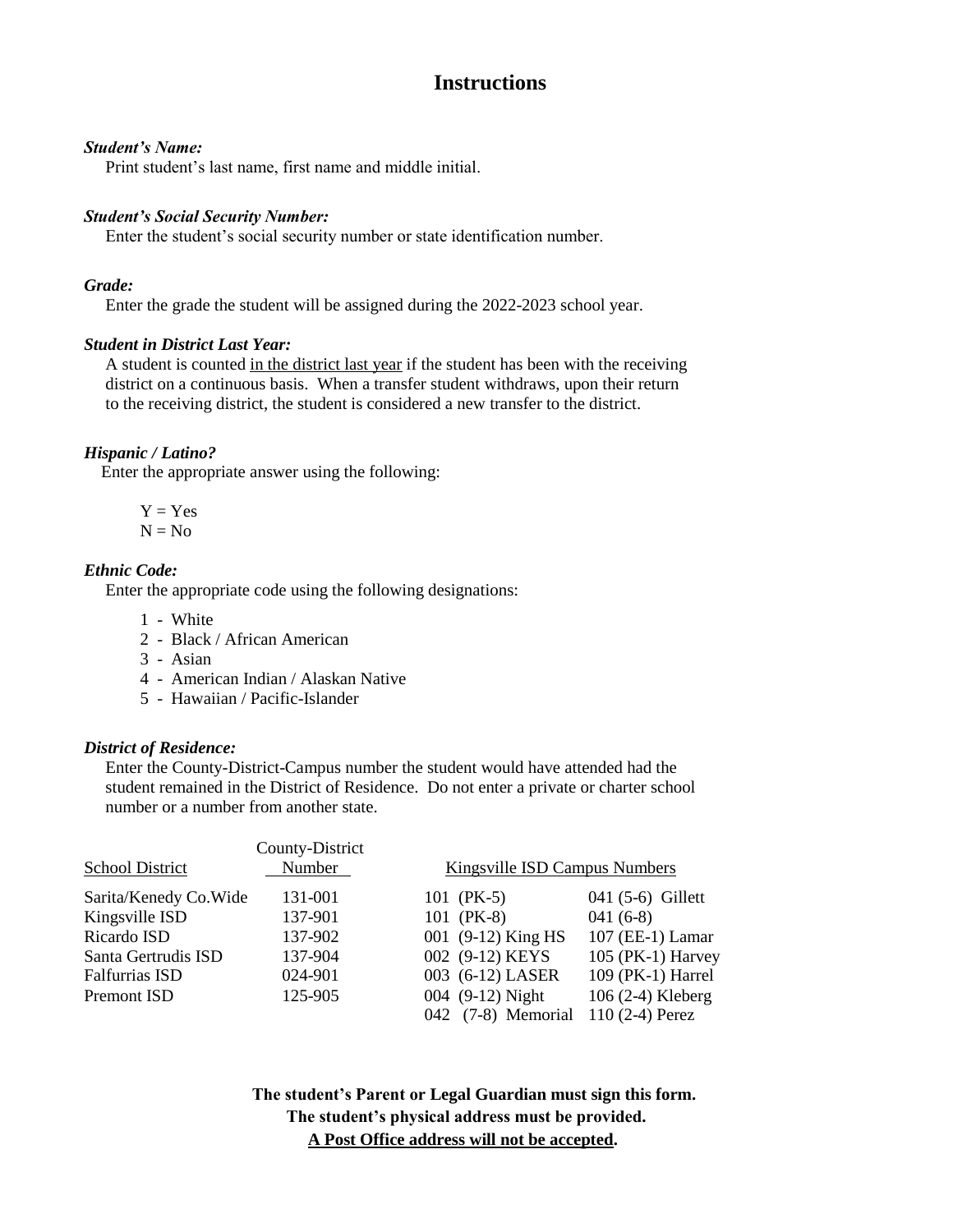## **Instructions**

#### *Student's Name:*

Print student's last name, first name and middle initial.

#### *Student's Social Security Number:*

Enter the student's social security number or state identification number.

#### *Grade:*

Enter the grade the student will be assigned during the 2022-2023 school year.

#### *Student in District Last Year:*

A student is counted in the district last year if the student has been with the receiving district on a continuous basis. When a transfer student withdraws, upon their return to the receiving district, the student is considered a new transfer to the district.

#### *Hispanic / Latino?*

Enter the appropriate answer using the following:

$$
Y = Yes
$$

$$
N = No
$$

#### *Ethnic Code:*

Enter the appropriate code using the following designations:

- 1 White
- 2 Black / African American
- 3 Asian
- 4 American Indian / Alaskan Native
- 5 Hawaiian / Pacific-Islander

#### *District of Residence:*

 Enter the County-District-Campus number the student would have attended had the student remained in the District of Residence. Do not enter a private or charter school number or a number from another state.

|                        | County-District |                               |                   |
|------------------------|-----------------|-------------------------------|-------------------|
| <b>School District</b> | Number          | Kingsville ISD Campus Numbers |                   |
| Sarita/Kenedy Co. Wide | 131-001         | 101 (PK-5)                    | 041 (5-6) Gillett |
| Kingsville ISD         | 137-901         | 101 (PK-8)                    | $041(6-8)$        |
| Ricardo ISD            | 137-902         | 001 (9-12) King HS            | 107 (EE-1) Lamar  |
| Santa Gertrudis ISD    | 137-904         | 002 (9-12) KEYS               | 105 (PK-1) Harvey |
| <b>Falfurrias ISD</b>  | 024-901         | 003 (6-12) LASER              | 109 (PK-1) Harrel |
| Premont ISD            | 125-905         | 004 (9-12) Night              | 106 (2-4) Kleberg |
|                        |                 | 042 (7-8) Memorial            | $110(2-4)$ Perez  |

**The student's Parent or Legal Guardian must sign this form. The student's physical address must be provided. A Post Office address will not be accepted.**